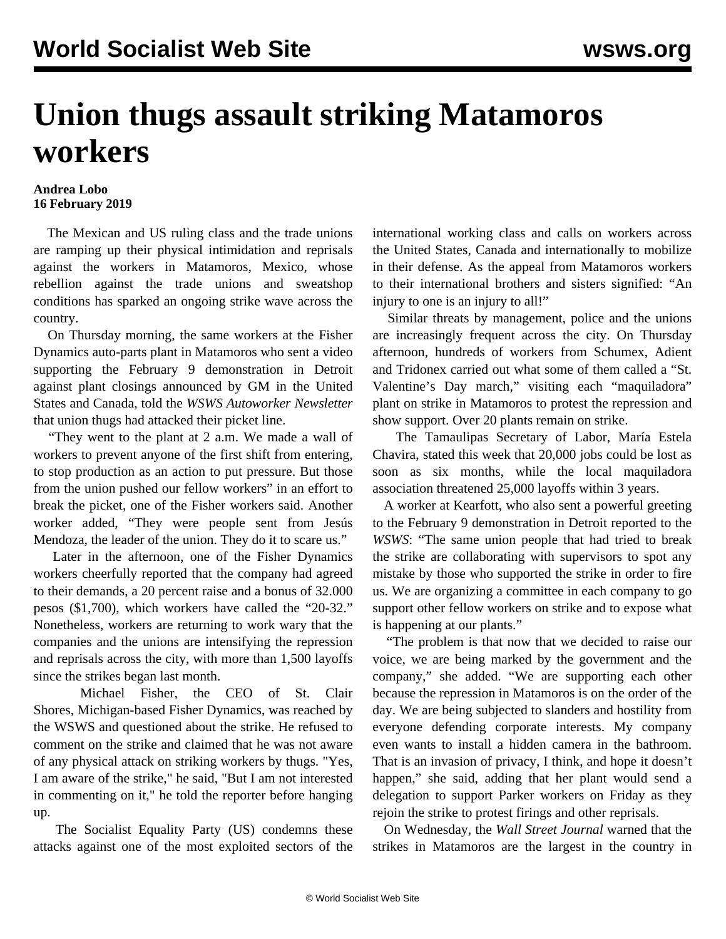## **Union thugs assault striking Matamoros workers**

## **Andrea Lobo 16 February 2019**

 The Mexican and US ruling class and the trade unions are ramping up their physical intimidation and reprisals against the workers in Matamoros, Mexico, whose rebellion against the trade unions and sweatshop conditions has sparked an ongoing strike wave across the country.

 On Thursday morning, the same workers at the Fisher Dynamics auto-parts plant in Matamoros who sent a [video](https://youtu.be/yxgw0Nz8W1I) supporting the February 9 demonstration in Detroit against plant closings announced by GM in the United States and Canada, told the *WSWS Autoworker Newsletter* that union thugs had attacked their picket line.

 "They went to the plant at 2 a.m. We made a wall of workers to prevent anyone of the first shift from entering, to stop production as an action to put pressure. But those from the union pushed our fellow workers" in an effort to break the picket, one of the Fisher workers said. Another worker added, "They were people sent from Jesús Mendoza, the leader of the union. They do it to scare us."

 Later in the afternoon, one of the Fisher Dynamics workers cheerfully reported that the company had agreed to their demands, a 20 percent raise and a bonus of 32.000 pesos (\$1,700), which workers have called the "20-32." Nonetheless, workers are returning to work wary that the companies and the unions are intensifying the repression and reprisals across the city, with more than 1,500 layoffs since the strikes began last month.

 Michael Fisher, the CEO of St. Clair Shores, Michigan-based Fisher Dynamics, was reached by the WSWS and questioned about the strike. He refused to comment on the strike and claimed that he was not aware of any physical attack on striking workers by thugs. "Yes, I am aware of the strike," he said, "But I am not interested in commenting on it," he told the reporter before hanging up.

 The Socialist Equality Party (US) condemns these attacks against one of the most exploited sectors of the international working class and calls on workers across the United States, Canada and internationally to mobilize in their defense. As the appeal from Matamoros workers to their international brothers and sisters signified: "An injury to one is an injury to all!"

 Similar threats by management, police and the unions are increasingly frequent across the city. On Thursday afternoon, hundreds of workers from Schumex, Adient and Tridonex carried out what some of them called a "St. Valentine's Day march," visiting each "maquiladora" plant on strike in Matamoros to protest the repression and show support. Over 20 plants remain on strike.

 The Tamaulipas Secretary of Labor, María Estela Chavira, stated this week that 20,000 jobs could be lost as soon as six months, while the local maquiladora association threatened 25,000 layoffs within 3 years.

 A worker at Kearfott, who also sent a [powerful greeting](/en/articles/2019/02/06/mata-f06.html) to the February 9 demonstration in Detroit reported to the *WSWS*: "The same union people that had tried to break the strike are collaborating with supervisors to spot any mistake by those who supported the strike in order to fire us. We are organizing a committee in each company to go support other fellow workers on strike and to expose what is happening at our plants."

 "The problem is that now that we decided to raise our voice, we are being marked by the government and the company," she added. "We are supporting each other because the repression in Matamoros is on the order of the day. We are being subjected to slanders and hostility from everyone defending corporate interests. My company even wants to install a hidden camera in the bathroom. That is an invasion of privacy, I think, and hope it doesn't happen," she said, adding that her plant would send a delegation to support Parker workers on Friday as they rejoin the strike to protest firings and other reprisals.

 On Wednesday, the *Wall Street Journal* warned that the strikes in Matamoros are the largest in the country in